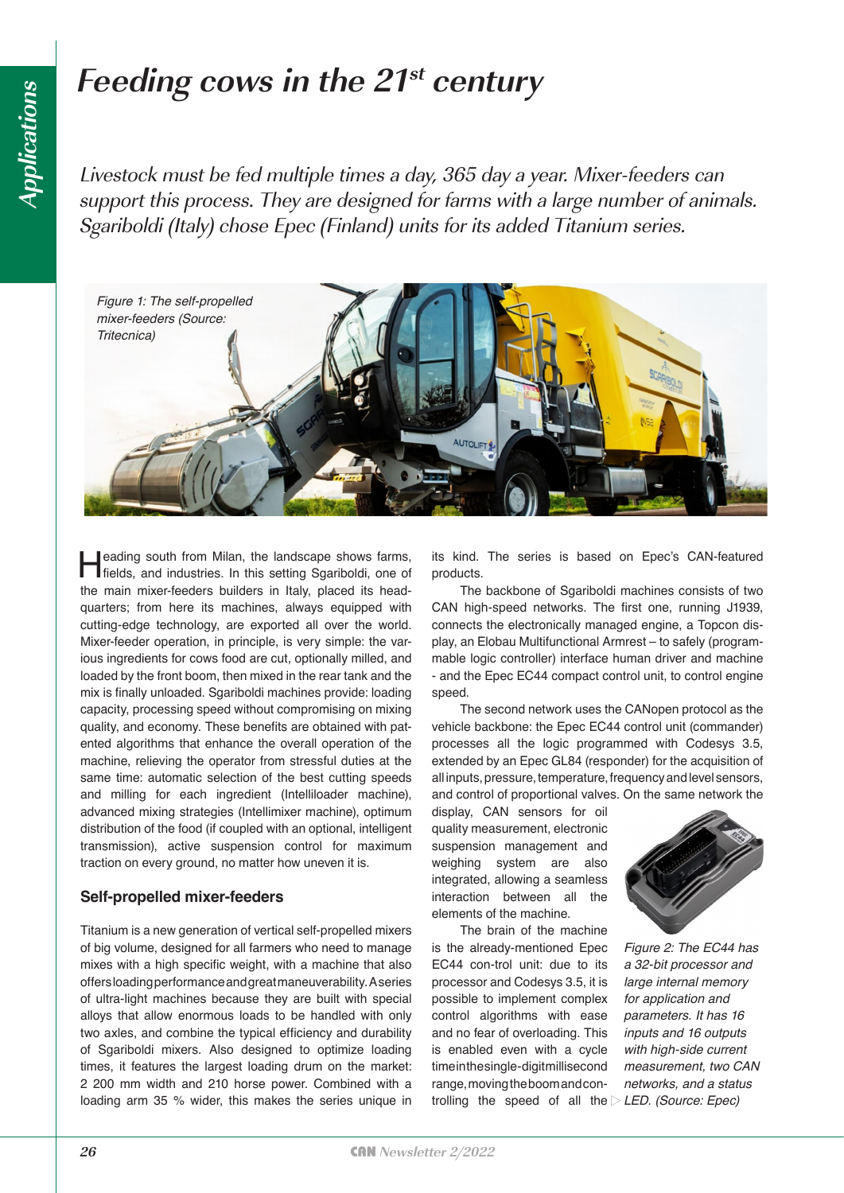# **Feeding cows in the 21st century**

Livestock must be fed multiple times a day, 365 day a year. Mixer-feeders can support this process. They are designed for farms with a large number of animals. Sgariboldi (Italy) chose Epec (Finland) units for its added Titanium series.



**Heading south from Milan, the landscape shows farms,** fields, and industries. In this setting Sgariboldi, one of the main mixer-feeders builders in Italy, placed its headquarters; from here its machines, always equipped with cutting-edge technology, are exported all over the world. Mixer-feeder operation, in principle, is very simple: the various ingredients for cows food are cut, optionally milled, and loaded by the front boom, then mixed in the rear tank and the mix is finally unloaded. Sgariboldi machines provide: loading capacity, processing speed without compromising on mixing quality, and economy. These benefits are obtained with patented algorithms that enhance the overall operation of the machine, relieving the operator from stressful duties at the same time: automatic selection of the best cutting speeds and milling for each ingredient (Intelliloader machine), advanced mixing strategies (Intellimixer machine), optimum distribution of the food (if coupled with an optional, intelligent transmission), active suspension control for maximum traction on every ground, no matter how uneven it is.

#### **Self-propelled mixer-feeders**

Titanium is a new generation of vertical self-propelled mixers of big volume, designed for all farmers who need to manage mixes with a high specific weight, with a machine that also offers loading performance and great maneuverability. A series of ultra-light machines because they are built with special alloys that allow enormous loads to be handled with only two axles, and combine the typical efficiency and durability of Sgariboldi mixers. Also designed to optimize loading times, it features the largest loading drum on the market: 2 200 mm width and 210 horse power. Combined with a loading arm 35 % wider, this makes the series unique in

its kind. The series is based on Epec's CAN-featured products.

The backbone of Sgariboldi machines consists of two CAN high-speed networks. The first one, running J1939, connects the electronically managed engine, a Topcon display, an Elobau Multifunctional Armrest – to safely (programmable logic controller) interface human driver and machine - and the Epec EC44 compact control unit, to control engine speed.

The second network uses the CANopen protocol as the vehicle backbone: the Epec EC44 control unit (commander) processes all the logic programmed with Codesys 3.5, extended by an Epec GL84 (responder) for the acquisition of all inputs, pressure, temperature, frequency and level sensors, and control of proportional valves. On the same network the

display, CAN sensors for oil quality measurement, electronic suspension management and weighing system are also integrated, allowing a seamless interaction between all the elements of the machine.

The brain of the machine is the already-mentioned Epec EC44 con-trol unit: due to its processor and Codesys 3.5, it is possible to implement complex control algorithms with ease and no fear of overloading. This is enabled even with a cycle time in the single-digit millisecond range, moving the boom and controlling the speed of all the *LED. (Source: Epec)*



*Figure 2: The EC44 has a 32-bit processor and large internal memory for application and parameters. It has 16 inputs and 16 outputs with high-side current measurement, two CAN networks, and a status*